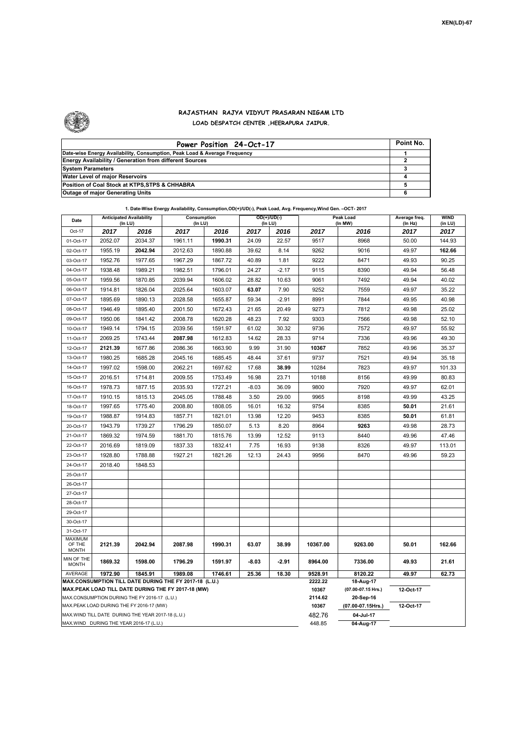

## **RAJASTHAN RAJYA VIDYUT PRASARAN NIGAM LTD LOAD DESPATCH CENTER ,HEERAPURA JAIPUR.**

| Power Position 24-Oct-17                                                  | Point No. |
|---------------------------------------------------------------------------|-----------|
| Date-wise Energy Availability, Consumption, Peak Load & Average Frequency |           |
| <b>Energy Availability / Generation from different Sources</b>            |           |
| <b>System Parameters</b>                                                  |           |
| Water Level of major Reservoirs                                           |           |
| Position of Coal Stock at KTPS, STPS & CHHABRA                            |           |
| <b>Outage of major Generating Units</b>                                   |           |

| 1. Date-Wise Energy Availability, Consumption,OD(+)/UD(-), Peak Load, Avg. Frequency,Wind Gen. -OCT- 2017 |  |
|-----------------------------------------------------------------------------------------------------------|--|
|                                                                                                           |  |

| Date                                     | <b>Anticipated Availability</b><br>(In LU)         |         | Consumption<br>(In LU)                                                                                       |                  |                                 | $OD(+)/UD(-)$<br>(In LU) |          | Peak Load<br>(In MW) | Average freq.<br>(In Hz) | <b>WIND</b><br>(in LU) |
|------------------------------------------|----------------------------------------------------|---------|--------------------------------------------------------------------------------------------------------------|------------------|---------------------------------|--------------------------|----------|----------------------|--------------------------|------------------------|
| Oct-17                                   | 2017                                               | 2016    | 2017                                                                                                         | 2016             | 2017                            | 2016                     | 2017     | 2016                 | 2017                     | 2017                   |
| 01-Oct-17                                | 2052.07                                            | 2034.37 | 1961.11                                                                                                      | 1990.31          | 24.09                           | 22.57                    | 9517     | 8968                 | 50.00                    | 144.93                 |
| 02-Oct-17                                | 1955.19                                            | 2042.94 | 2012.63                                                                                                      | 1890.88          | 39.62                           | 8.14                     | 9262     | 9016                 | 49.97                    | 162.66                 |
| 03-Oct-17                                | 1952.76                                            | 1977.65 | 1967.29                                                                                                      | 1867.72          | 40.89                           | 1.81                     | 9222     | 8471                 | 49.93                    | 90.25                  |
| 04-Oct-17                                | 1938.48                                            | 1989.21 | 1982.51                                                                                                      | 1796.01          | 24.27                           | $-2.17$                  | 9115     | 8390                 | 49.94                    | 56.48                  |
| 05-Oct-17                                | 1959.56                                            | 1870.85 | 2039.94                                                                                                      | 1606.02          | 28.82                           | 10.63                    | 9061     | 7492                 | 49.94                    | 40.02                  |
| 06-Oct-17                                | 1914.81                                            | 1826.04 | 2025.64                                                                                                      | 1603.07          | 63.07                           | 7.90                     | 9252     | 7559                 | 49.97                    | 35.22                  |
| 07-Oct-17                                | 1895.69                                            | 1890.13 | 2028.58                                                                                                      | 1655.87          | 59.34                           | $-2.91$                  | 8991     | 7844                 | 49.95                    | 40.98                  |
| 08-Oct-17                                | 1946.49                                            | 1895.40 | 2001.50                                                                                                      | 1672.43          | 21.65                           | 20.49                    | 9273     | 7812                 | 49.98                    | 25.02                  |
| 09-Oct-17                                | 1950.06                                            | 1841.42 | 2008.78                                                                                                      | 1620.28          | 48.23                           | 7.92                     | 9303     | 7566                 | 49.98                    | 52.10                  |
| 10-Oct-17                                | 1949.14                                            | 1794.15 | 2039.56                                                                                                      | 1591.97          | 61.02                           | 30.32                    | 9736     | 7572                 | 49.97                    | 55.92                  |
| 11-Oct-17                                | 2069.25                                            | 1743.44 | 2087.98                                                                                                      | 1612.83          | 14.62                           | 28.33                    | 9714     | 7336                 | 49.96                    | 49.30                  |
| 12-Oct-17                                | 2121.39                                            | 1677.86 | 2086.36                                                                                                      | 1663.90          | 9.99                            | 31.90                    | 10367    | 7852                 | 49.96                    | 35.37                  |
| 13-Oct-17                                | 1980.25                                            | 1685.28 | 2045.16                                                                                                      | 1685.45          | 48.44                           | 37.61                    | 9737     | 7521                 | 49.94                    | 35.18                  |
| 14-Oct-17                                | 1997.02                                            | 1598.00 | 2062.21                                                                                                      | 1697.62          | 17.68                           | 38.99                    | 10284    | 7823                 | 49.97                    | 101.33                 |
| 15-Oct-17                                | 2016.51                                            | 1714.81 | 2009.55                                                                                                      | 1753.49          | 16.98                           | 23.71                    | 10188    | 8156                 | 49.99                    | 80.83                  |
| 16-Oct-17                                | 1978.73                                            | 1877.15 | 2035.93                                                                                                      | 1727.21          | $-8.03$                         | 36.09                    | 9800     | 7920                 | 49.97                    | 62.01                  |
| 17-Oct-17                                | 1910.15                                            | 1815.13 | 2045.05                                                                                                      | 1788.48          | 3.50                            | 29.00                    | 9965     | 8198                 | 49.99                    | 43.25                  |
| 18-Oct-17                                | 1997.65                                            | 1775.40 | 2008.80                                                                                                      | 1808.05          | 16.01                           | 16.32                    | 9754     | 8385                 | 50.01                    | 21.61                  |
| 19-Oct-17                                | 1988.87                                            | 1914.83 | 1857.71                                                                                                      | 1821.01          | 13.98                           | 12.20                    | 9453     | 8385                 | 50.01                    | 61.81                  |
| 20-Oct-17                                | 1943.79                                            | 1739.27 | 1796.29                                                                                                      | 1850.07          | 5.13                            | 8.20                     | 8964     | 9263                 | 49.98                    | 28.73                  |
| 21-Oct-17                                | 1869.32                                            | 1974.59 | 1881.70                                                                                                      | 1815.76          | 13.99                           | 12.52                    | 9113     | 8440                 | 49.96                    | 47.46                  |
| 22-Oct-17                                | 2016.69                                            | 1819.09 | 1837.33                                                                                                      | 1832.41          | 7.75                            | 16.93                    | 9138     | 8326                 | 49.97                    | 113.01                 |
| 23-Oct-17                                | 1928.80                                            | 1788.88 | 1927.21                                                                                                      | 1821.26          | 12.13                           | 24.43                    | 9956     | 8470                 |                          | 59.23                  |
| 24-Oct-17<br>2018.40<br>1848.53          |                                                    |         |                                                                                                              |                  |                                 |                          |          |                      |                          |                        |
| 25-Oct-17                                |                                                    |         |                                                                                                              |                  |                                 |                          |          |                      |                          |                        |
| 26-Oct-17                                |                                                    |         |                                                                                                              |                  |                                 |                          |          |                      |                          |                        |
| 27-Oct-17                                |                                                    |         |                                                                                                              |                  |                                 |                          |          |                      |                          |                        |
| 28-Oct-17                                |                                                    |         |                                                                                                              |                  |                                 |                          |          |                      |                          |                        |
| 29-Oct-17                                |                                                    |         |                                                                                                              |                  |                                 |                          |          |                      |                          |                        |
| 30-Oct-17                                |                                                    |         |                                                                                                              |                  |                                 |                          |          |                      |                          |                        |
| 31-Oct-17                                |                                                    |         |                                                                                                              |                  |                                 |                          |          |                      |                          |                        |
| <b>MAXIMUM</b><br>OF THE<br><b>MONTH</b> | 2121.39                                            | 2042.94 | 2087.98                                                                                                      | 1990.31          | 63.07                           | 38.99                    | 10367.00 | 9263.00              | 50.01                    | 162.66                 |
| MIN OF THE<br><b>MONTH</b>               | 1869.32                                            | 1598.00 | 1796.29                                                                                                      | 1591.97          | -8.03                           | $-2.91$                  | 8964.00  | 7336.00              | 49.93                    | 21.61                  |
| AVERAGE                                  | 1972.90                                            | 1845.91 | 1989.08                                                                                                      | 1746.61          | 25.36                           | 18.30                    | 9528.91  | 8120.22              | 49.97                    | 62.73                  |
|                                          |                                                    |         | MAX.CONSUMPTION TILL DATE DURING THE FY 2017-18 (L.U.)<br>MAX.PEAK LOAD TILL DATE DURING THE FY 2017-18 (MW) | 2222.22<br>10367 | 18-Aug-17<br>(07.00-07.15 Hrs.) | 12-Oct-17                |          |                      |                          |                        |
|                                          | MAX.CONSUMPTION DURING THE FY 2016-17 (L.U.)       |         |                                                                                                              | 2114.62          | 20-Sep-16                       |                          |          |                      |                          |                        |
|                                          | MAX.PEAK LOAD DURING THE FY 2016-17 (MW)           |         |                                                                                                              |                  |                                 |                          | 10367    | (07.00-07.15Hrs.)    | 12-Oct-17                |                        |
|                                          | MAX. WIND TILL DATE DURING THE YEAR 2017-18 (L.U.) |         |                                                                                                              |                  |                                 |                          | 482.76   | 04-Jul-17            |                          |                        |
|                                          | MAX.WIND DURING THE YEAR 2016-17 (L.U.)            |         |                                                                                                              | 448.85           | 04-Aug-17                       |                          |          |                      |                          |                        |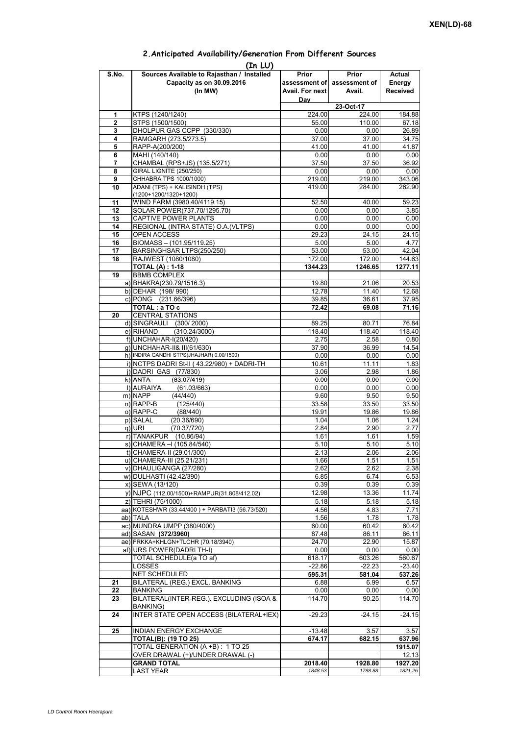| (In LU) |                                                 |                 |                             |                 |  |  |  |  |  |  |
|---------|-------------------------------------------------|-----------------|-----------------------------|-----------------|--|--|--|--|--|--|
| S.No.   | Sources Available to Rajasthan / Installed      | Prior           | Prior                       | Actual          |  |  |  |  |  |  |
|         | Capacity as on 30.09.2016                       |                 | assessment of assessment of | Energy          |  |  |  |  |  |  |
|         | (In MW)                                         | Avail. For next | Avail.                      | <b>Received</b> |  |  |  |  |  |  |
|         |                                                 | Day             |                             |                 |  |  |  |  |  |  |
|         |                                                 |                 |                             |                 |  |  |  |  |  |  |
| 1       | KTPS (1240/1240)                                | 224.00          | 23-Oct-17<br>224.00         | 184.88          |  |  |  |  |  |  |
| 2       | STPS (1500/1500)                                | 55.00           | 110.00                      | 67.18           |  |  |  |  |  |  |
| 3       | DHOLPUR GAS CCPP (330/330)                      | 0.00            | 0.00                        | 26.89           |  |  |  |  |  |  |
| 4       | RAMGARH (273.5/273.5)                           | 37.00           | 37.00                       | 34.75           |  |  |  |  |  |  |
| 5       | RAPP-A(200/200)                                 | 41.00           | 41.00                       | 41.87           |  |  |  |  |  |  |
| 6       | MAHI (140/140)                                  | 0.00            | 0.00                        | 0.00            |  |  |  |  |  |  |
| 7       | CHAMBAL (RPS+JS) (135.5/271)                    | 37.50           | 37.50                       | 36.92           |  |  |  |  |  |  |
| 8       | GIRAL LIGNITE (250/250)                         | 0.00            | 0.00                        | 0.00            |  |  |  |  |  |  |
| 9       | CHHABRA TPS 1000/1000)                          | 219.00          | 219.00                      | 343.06          |  |  |  |  |  |  |
| 10      | ADANI (TPS) + KALISINDH (TPS)                   | 419.00          | 284.00                      | 262.90          |  |  |  |  |  |  |
|         | $(1200+1200/1320+1200)$                         |                 |                             |                 |  |  |  |  |  |  |
| 11      | WIND FARM (3980.40/4119.15)                     | 52.50           | 40.00                       | 59.23           |  |  |  |  |  |  |
| 12      | SOLAR POWER(737.70/1295.70)                     | 0.00            | 0.00                        | 3.85            |  |  |  |  |  |  |
| 13      | CAPTIVE POWER PLANTS                            | 0.00            | 0.00                        | 0.00            |  |  |  |  |  |  |
| 14      | REGIONAL (INTRA STATE) O.A. (VLTPS)             | 0.00            | 0.00                        | 0.00            |  |  |  |  |  |  |
| 15      | OPEN ACCESS                                     | 29.23           | 24.15                       | 24.15           |  |  |  |  |  |  |
| 16      | BIOMASS - (101.95/119.25)                       | 5.00            | 5.00                        | 4.77            |  |  |  |  |  |  |
| 17      | BARSINGHSAR LTPS(250/250)                       | 53.00           | 53.00                       | 42.04           |  |  |  |  |  |  |
| 18      | RAJWEST (1080/1080)                             | 172.00          | 172.00                      | 144.63          |  |  |  |  |  |  |
|         | <b>TOTAL (A): 1-18</b>                          | 1344.23         | 1246.65                     | 1277.11         |  |  |  |  |  |  |
| 19      | <b>BBMB COMPLEX</b>                             |                 |                             |                 |  |  |  |  |  |  |
|         |                                                 |                 | 21.06                       | 20.53           |  |  |  |  |  |  |
|         | a) BHAKRA(230.79/1516.3)                        | 19.80           |                             |                 |  |  |  |  |  |  |
|         | b) DEHAR (198/990)                              | 12.78           | 11.40                       | 12.68           |  |  |  |  |  |  |
|         | c) PONG (231.66/396)                            | 39.85           | 36.61                       | 37.95           |  |  |  |  |  |  |
|         | TOTAL: a TO c                                   | 72.42           | 69.08                       | 71.16           |  |  |  |  |  |  |
| 20      | <b>CENTRAL STATIONS</b>                         |                 |                             |                 |  |  |  |  |  |  |
|         | d) SINGRAULI (300/2000)                         | 89.25           | 80.71                       | 76.84           |  |  |  |  |  |  |
|         | (310.24/3000)<br>e) RIHAND                      | 118.40          | 118.40                      | 118.40          |  |  |  |  |  |  |
|         | f) UNCHAHAR-I(20/420)                           | 2.75            | 2.58                        | 0.80            |  |  |  |  |  |  |
|         | g) UNCHAHAR-II& III(61/630)                     | 37.90           | 36.99                       | 14.54           |  |  |  |  |  |  |
|         | h) INDIRA GANDHI STPS(JHAJHAR) 0.00/1500)       | 0.00            | 0.00                        | 0.00            |  |  |  |  |  |  |
|         | i) NCTPS DADRI St-II (43.22/980) + DADRI-TH     | 10.61           | 11.11                       | 1.83            |  |  |  |  |  |  |
|         | j) DADRI GAS (77/830)                           | 3.06            | 2.98                        | 1.86            |  |  |  |  |  |  |
|         | k) ANTA<br>(83.07/419)                          | 0.00            | 0.00                        | 0.00            |  |  |  |  |  |  |
|         | I) AURAIYA<br>(61.03/663)                       | 0.00            | 0.00                        | 0.00            |  |  |  |  |  |  |
|         | m) NAPP<br>(44/440)                             | 9.60            | 9.50                        | 9.50            |  |  |  |  |  |  |
|         | $n)$ RAPP-B<br>(125/440)                        | 33.58           | 33.50                       | 33.50           |  |  |  |  |  |  |
|         | o) RAPP-C<br>(88/440)                           | 19.91           | 19.86                       | 19.86           |  |  |  |  |  |  |
|         | p) SALAL<br>(20.36/690)                         | 1.04            | 1.06                        | 1.24            |  |  |  |  |  |  |
|         | (70.37/720)<br>q) URI                           | 2.84            | 2.90                        | 2.77            |  |  |  |  |  |  |
|         | r) TANAKPUR (10.86/94)                          | 1.61            | 1.61                        | 1.59            |  |  |  |  |  |  |
|         | s) CHAMERA - (105.84/540)                       | 5.10            | 5.10                        | 5.10            |  |  |  |  |  |  |
|         | t) CHAMERA-II (29.01/300)                       | 2.13            | 2.06                        | 2.06            |  |  |  |  |  |  |
|         | u) CHAMERA-III (25.21/231)                      | 1.66            | 1.51                        | 1.51            |  |  |  |  |  |  |
|         | v) DHAULIGANGA (27/280)                         | 2.62            | 2.62                        | 2.38            |  |  |  |  |  |  |
|         | w) DULHASTI (42.42/390)                         | 6.85            | 6.74                        | 6.53            |  |  |  |  |  |  |
|         | x) SEWA (13/120)                                | 0.39            | 0.39                        | 0.39            |  |  |  |  |  |  |
|         | y) NJPC (112.00/1500) + RAMPUR(31.808/412.02)   | 12.98           | 13.36                       | 11.74           |  |  |  |  |  |  |
|         | z) TEHRI (75/1000)                              | 5.18            | 5.18                        | 5.18            |  |  |  |  |  |  |
|         | aa) KOTESHWR (33.44/400) + PARBATI3 (56.73/520) |                 | 4.83                        | 7.71            |  |  |  |  |  |  |
|         |                                                 | 4.56            |                             |                 |  |  |  |  |  |  |
|         | ab) TALA                                        | 1.56            | 1.78                        | 1.78            |  |  |  |  |  |  |
|         | ac) MUNDRA UMPP (380/4000)                      | 60.00           | 60.42                       | 60.42           |  |  |  |  |  |  |
|         | ad) SASAN (372/3960)                            | 87.48           | 86.11                       | 86.11           |  |  |  |  |  |  |
|         | ae) FRKKA+KHLGN+TLCHR (70.18/3940)              | 24.70           | 22.90                       | 15.87           |  |  |  |  |  |  |
|         | af) URS POWER(DADRI TH-I)                       | 0.00            | 0.00                        | 0.00            |  |  |  |  |  |  |
|         | TOTAL SCHEDULE(a TO af)                         | 618.17          | 603.26                      | 560.67          |  |  |  |  |  |  |
|         | LOSSES                                          | $-22.86$        | $-22.23$                    | $-23.40$        |  |  |  |  |  |  |
|         | NET SCHEDULED                                   | 595.31          | 581.04                      | 537.26          |  |  |  |  |  |  |
| 21      | BILATERAL (REG.) EXCL. BANKING                  | 6.88            | 6.99                        | 6.57            |  |  |  |  |  |  |
| 22      | <b>BANKING</b>                                  | 0.00            | 0.00                        | 0.00            |  |  |  |  |  |  |
| 23      | BILATERAL(INTER-REG.). EXCLUDING (ISOA &        | 114.70          | 90.25                       | 114.70          |  |  |  |  |  |  |
|         | BANKING)                                        |                 |                             |                 |  |  |  |  |  |  |
| 24      | INTER STATE OPEN ACCESS (BILATERAL+IEX)         | $-29.23$        | $-24.15$                    | $-24.15$        |  |  |  |  |  |  |
|         |                                                 |                 |                             |                 |  |  |  |  |  |  |
| 25      | INDIAN ENERGY EXCHANGE                          | $-13.48$        | 3.57                        | 3.57            |  |  |  |  |  |  |
|         | <b>TOTAL(B): (19 TO 25)</b>                     | 674.17          | 682.15                      | 637.96          |  |  |  |  |  |  |
|         | TOTAL GENERATION (A +B) : 1 TO 25               |                 |                             | 1915.07         |  |  |  |  |  |  |
|         | OVER DRAWAL (+)/UNDER DRAWAL (-)                |                 |                             | 12.13           |  |  |  |  |  |  |
|         | <b>GRAND TOTAL</b>                              | 2018.40         | 1928.80                     | 1927.20         |  |  |  |  |  |  |
|         | <b>LAST YEAR</b>                                | 1848.53         | 1788.88                     | 1821.26         |  |  |  |  |  |  |

## **2.Anticipated Availability/Generation From Different Sources**